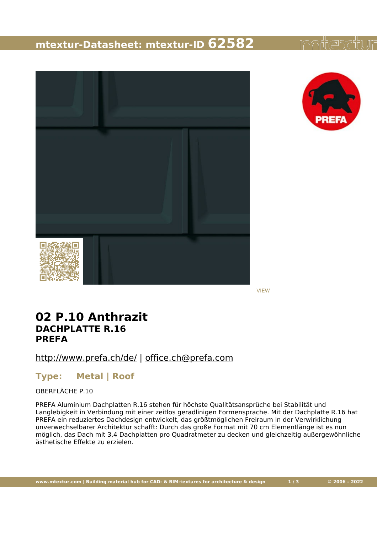### **mtextur-Datasheet: mtextur-ID 62582**





VIEW

### **02 P.10 Anthrazit DACHPLATTE R.16 PREFA**

<http://www.prefa.ch/de/> | [office.ch@prefa.com](mailto:office.ch@prefa.com)

#### **Type: Metal | Roof**

OBERFLÄCHE P.10

PREFA Aluminium Dachplatten R.16 stehen für höchste Qualitätsansprüche bei Stabilität und Langlebigkeit in Verbindung mit einer zeitlos geradlinigen Formensprache. Mit der Dachplatte R.16 hat PREFA ein reduziertes Dachdesign entwickelt, das größtmöglichen Freiraum in der Verwirklichung unverwechselbarer Architektur schafft: Durch das große Format mit 70 cm Elementlänge ist es nun möglich, das Dach mit 3,4 Dachplatten pro Quadratmeter zu decken und gleichzeitig außergewöhnliche ästhetische Effekte zu erzielen.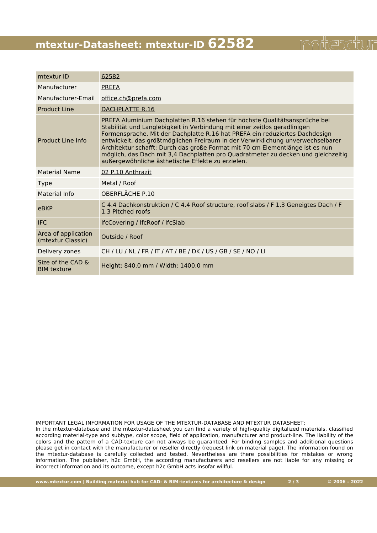# **mtextur-Datasheet: mtextur-ID 62582**

| mtextur ID                               | 62582                                                                                                                                                                                                                                                                                                                                                                                                                                                                                                                                                |
|------------------------------------------|------------------------------------------------------------------------------------------------------------------------------------------------------------------------------------------------------------------------------------------------------------------------------------------------------------------------------------------------------------------------------------------------------------------------------------------------------------------------------------------------------------------------------------------------------|
| Manufacturer                             | <b>PREFA</b>                                                                                                                                                                                                                                                                                                                                                                                                                                                                                                                                         |
| Manufacturer-Email                       | office.ch@prefa.com                                                                                                                                                                                                                                                                                                                                                                                                                                                                                                                                  |
| Product Line                             | DACHPLATTE R.16                                                                                                                                                                                                                                                                                                                                                                                                                                                                                                                                      |
| Product Line Info                        | PREFA Aluminium Dachplatten R.16 stehen für höchste Qualitätsansprüche bei<br>Stabilität und Langlebigkeit in Verbindung mit einer zeitlos geradlinigen<br>Formensprache. Mit der Dachplatte R.16 hat PREFA ein reduziertes Dachdesign<br>entwickelt, das größtmöglichen Freiraum in der Verwirklichung unverwechselbarer<br>Architektur schafft: Durch das große Format mit 70 cm Elementlänge ist es nun<br>möglich, das Dach mit 3,4 Dachplatten pro Quadratmeter zu decken und gleichzeitig<br>außergewöhnliche ästhetische Effekte zu erzielen. |
| <b>Material Name</b>                     | 02 P.10 Anthrazit                                                                                                                                                                                                                                                                                                                                                                                                                                                                                                                                    |
| <b>Type</b>                              | Metal / Roof                                                                                                                                                                                                                                                                                                                                                                                                                                                                                                                                         |
| Material Info                            | OBERFLÄCHE P.10                                                                                                                                                                                                                                                                                                                                                                                                                                                                                                                                      |
| eBKP                                     | C 4.4 Dachkonstruktion / C 4.4 Roof structure, roof slabs / F 1.3 Geneigtes Dach / F<br>1.3 Pitched roofs                                                                                                                                                                                                                                                                                                                                                                                                                                            |
| <b>IFC</b>                               | IfcCovering / IfcRoof / IfcSlab                                                                                                                                                                                                                                                                                                                                                                                                                                                                                                                      |
| Area of application<br>(mtextur Classic) | Outside / Roof                                                                                                                                                                                                                                                                                                                                                                                                                                                                                                                                       |
| Delivery zones                           | CH / LU / NL / FR / IT / AT / BE / DK / US / GB / SE / NO / LI                                                                                                                                                                                                                                                                                                                                                                                                                                                                                       |
| Size of the CAD &<br><b>BIM</b> texture  | Height: 840.0 mm / Width: 1400.0 mm                                                                                                                                                                                                                                                                                                                                                                                                                                                                                                                  |

IMPORTANT LEGAL INFORMATION FOR USAGE OF THE MTEXTUR-DATABASE AND MTEXTUR DATASHEET:

In the mtextur-database and the mtextur-datasheet you can find a variety of high-quality digitalized materials, classified according material-type and subtype, color scope, field of application, manufacturer and product-line. The liability of the colors and the pattern of a CAD-texture can not always be guaranteed. For binding samples and additional questions please get in contact with the manufacturer or reseller directly (request link on material page). The information found on the mtextur-database is carefully collected and tested. Nevertheless are there possibilities for mistakes or wrong information. The publisher, h2c GmbH, the according manufacturers and resellers are not liable for any missing or incorrect information and its outcome, except h2c GmbH acts insofar willful.

www.mtextur.com | Building material hub for CAD- & BIM-textures for architecture & design 2/3 0206 - 2022